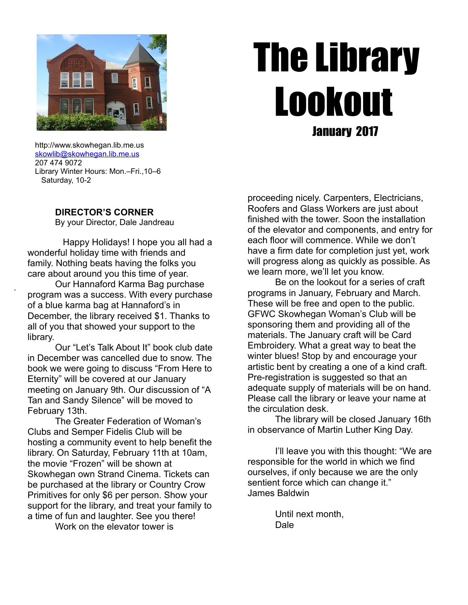

# The Library Lookout January 2017

 http://www.skowhegan.lib.me.us [skowlib@skowhegan.lib.me.us](mailto:skowlib@skowhegan.lib.me.us) 207 474 9072 Library Winter Hours: Mon.–Fri.,10–6 Saturday, 10-2

# **DIRECTOR'S CORNER**

.

By your Director, Dale Jandreau

 Happy Holidays! I hope you all had a wonderful holiday time with friends and family. Nothing beats having the folks you care about around you this time of year.

Our Hannaford Karma Bag purchase program was a success. With every purchase of a blue karma bag at Hannaford's in December, the library received \$1. Thanks to all of you that showed your support to the library.

 Our "Let's Talk About It" book club date in December was cancelled due to snow. The book we were going to discuss "From Here to Eternity" will be covered at our January meeting on January 9th. Our discussion of "A Tan and Sandy Silence" will be moved to February 13th.

 The Greater Federation of Woman's Clubs and Semper Fidelis Club will be hosting a community event to help benefit the library. On Saturday, February 11th at 10am, the movie "Frozen" will be shown at Skowhegan own Strand Cinema. Tickets can be purchased at the library or Country Crow Primitives for only \$6 per person. Show your support for the library, and treat your family to a time of fun and laughter. See you there! Work on the elevator tower is

proceeding nicely. Carpenters, Electricians, Roofers and Glass Workers are just about finished with the tower. Soon the installation of the elevator and components, and entry for each floor will commence. While we don't have a firm date for completion just yet, work will progress along as quickly as possible. As we learn more, we'll let you know.

 Be on the lookout for a series of craft programs in January, February and March. These will be free and open to the public. GFWC Skowhegan Woman's Club will be sponsoring them and providing all of the materials. The January craft will be Card Embroidery. What a great way to beat the winter blues! Stop by and encourage your artistic bent by creating a one of a kind craft. Pre-registration is suggested so that an adequate supply of materials will be on hand. Please call the library or leave your name at the circulation desk.

 The library will be closed January 16th in observance of Martin Luther King Day.

 I'll leave you with this thought: "We are responsible for the world in which we find ourselves, if only because we are the only sentient force which can change it." James Baldwin

> Until next month, Dale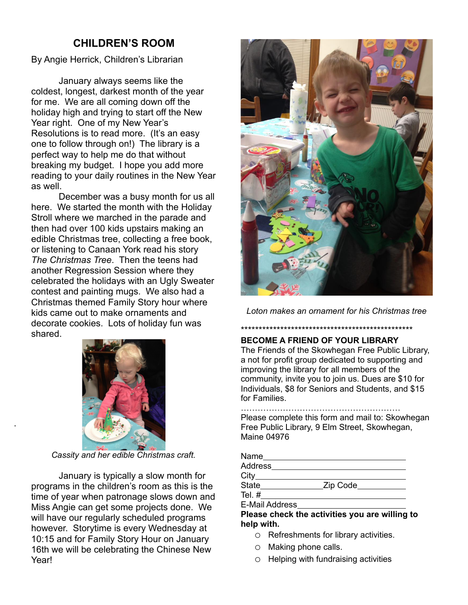# **CHILDREN'S ROOM**

By Angie Herrick, Children's Librarian

January always seems like the coldest, longest, darkest month of the year for me. We are all coming down off the holiday high and trying to start off the New Year right. One of my New Year's Resolutions is to read more. (It's an easy one to follow through on!) The library is a perfect way to help me do that without breaking my budget. I hope you add more reading to your daily routines in the New Year as well.

December was a busy month for us all here. We started the month with the Holiday Stroll where we marched in the parade and then had over 100 kids upstairs making an edible Christmas tree, collecting a free book, or listening to Canaan York read his story *The Christmas Tree*. Then the teens had another Regression Session where they celebrated the holidays with an Ugly Sweater contest and painting mugs. We also had a Christmas themed Family Story hour where kids came out to make ornaments and decorate cookies. Lots of holiday fun was shared.



.

*Cassity and her edible Christmas craft.*

January is typically a slow month for programs in the children's room as this is the time of year when patronage slows down and Miss Angie can get some projects done. We will have our regularly scheduled programs however. Storytime is every Wednesday at 10:15 and for Family Story Hour on January 16th we will be celebrating the Chinese New Year!



*Loton makes an ornament for his Christmas tree*

\*\*\*\*\*\*\*\*\*\*\*\*\*\*\*\*\*\*\*\*\*\*\*\*\*\*\*\*\*\*\*\*\*\*\*\*\*\*\*\*\*\*\*\*\*\*\*\*

# **BECOME A FRIEND OF YOUR LIBRARY**

The Friends of the Skowhegan Free Public Library, a not for profit group dedicated to supporting and improving the library for all members of the community, invite you to join us. Dues are \$10 for Individuals, \$8 for Seniors and Students, and \$15 for Families.

#### …………………………………………………

Please complete this form and mail to: Skowhegan Free Public Library, 9 Elm Street, Skowhegan, Maine 04976

| Name                |                |  |
|---------------------|----------------|--|
| Address             |                |  |
| $City$ <sub>—</sub> |                |  |
| <b>State State</b>  | _Zip Code_____ |  |
| Tel. #              |                |  |
| E-Mail Address      |                |  |

**Please check the activities you are willing to help with.**

- o Refreshments for library activities.
- o Making phone calls.
- o Helping with fundraising activities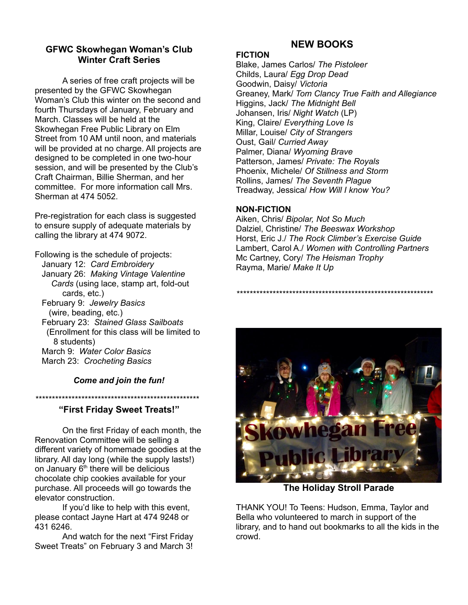# **GFWC Skowhegan Woman's Club Winter Craft Series**

A series of free craft projects will be presented by the GFWC Skowhegan Woman's Club this winter on the second and fourth Thursdays of January, February and March. Classes will be held at the Skowhegan Free Public Library on Elm Street from 10 AM until noon, and materials will be provided at no charge. All projects are designed to be completed in one two-hour session, and will be presented by the Club's Craft Chairman, Billie Sherman, and her committee. For more information call Mrs. Sherman at 474 5052.

Pre-registration for each class is suggested to ensure supply of adequate materials by calling the library at 474 9072.

Following is the schedule of projects: January 12: *Card Embroidery* January 26: *Making Vintage Valentine Cards* (using lace, stamp art, fold-out cards, etc.) February 9: *Jewelry Basics* (wire, beading, etc.) February 23: *Stained Glass Sailboats* (Enrollment for this class will be limited to 8 students) March 9: *Water Color Basics* March 23: *Crocheting Basics*

## *Come and join the fun!*

*\*\*\*\*\*\*\*\*\*\*\*\*\*\*\*\*\*\*\*\*\*\*\*\*\*\*\*\*\*\*\*\*\*\*\*\*\*\*\*\*\*\*\*\*\*\*\*\*\*\**

#### **"First Friday Sweet Treats!"**

On the first Friday of each month, the Renovation Committee will be selling a different variety of homemade goodies at the library. All day long (while the supply lasts!) on January  $6<sup>th</sup>$  there will be delicious chocolate chip cookies available for your purchase. All proceeds will go towards the elevator construction.

If you'd like to help with this event, please contact Jayne Hart at 474 9248 or 431 6246.

And watch for the next "First Friday Sweet Treats" on February 3 and March 3!

# **NEW BOOKS**

#### **FICTION**

Blake, James Carlos/ *The Pistoleer* Childs, Laura/ *Egg Drop Dead* Goodwin, Daisy/ *Victoria* Greaney, Mark/ *Tom Clancy True Faith and Allegiance* Higgins, Jack/ *The Midnight Bell* Johansen, Iris/ *Night Watch* (LP) King, Claire/ *Everything Love Is* Millar, Louise/ *City of Strangers* Oust, Gail/ *Curried Away* Palmer, Diana/ *Wyoming Brave* Patterson, James/ *Private: The Royals* Phoenix, Michele/ *Of Stillness and Storm* Rollins, James/ *The Seventh Plague* Treadway, Jessica/ *How Will I know You?*

#### **NON-FICTION**

Aiken, Chris/ *Bipolar, Not So Much* Dalziel, Christine/ *The Beeswax Workshop* Horst, Eric J./ *The Rock Climber's Exercise Guide* Lambert, Carol A./ *Women with Controlling Partners* Mc Cartney, Cory/ *The Heisman Trophy* Rayma, Marie/ *Make It Up*

*\*\*\*\*\*\*\*\*\*\*\*\*\*\*\*\*\*\*\*\*\*\*\*\*\*\*\*\*\*\*\*\*\*\*\*\*\*\*\*\*\*\*\*\*\*\*\*\*\*\*\*\*\*\*\*\*\*\*\*\**



**The Holiday Stroll Parade**

THANK YOU! To Teens: Hudson, Emma, Taylor and Bella who volunteered to march in support of the library, and to hand out bookmarks to all the kids in the crowd.